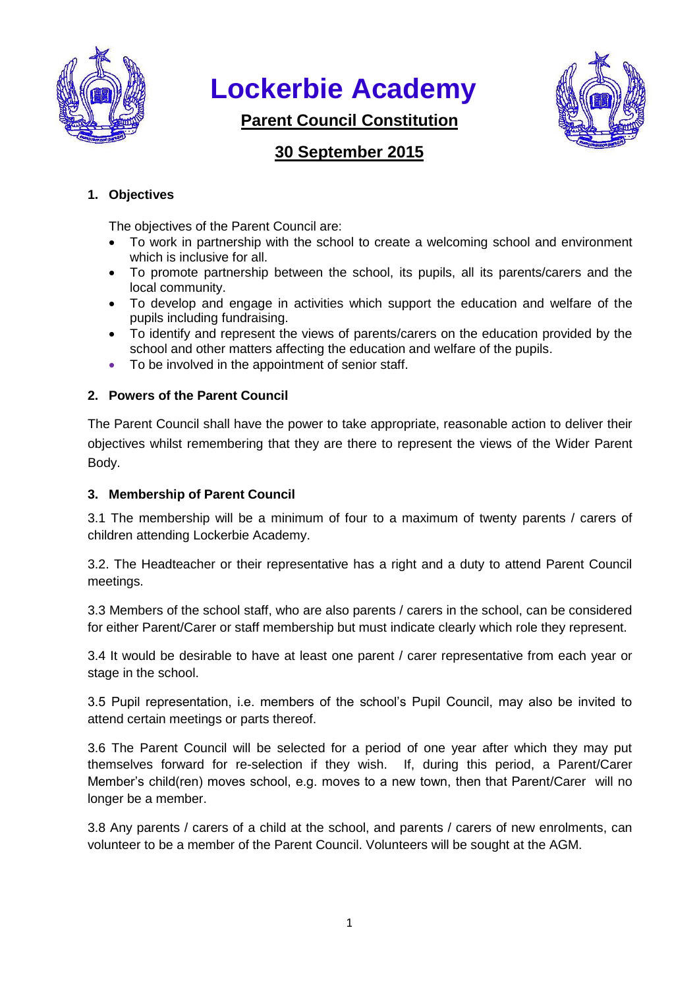

# **Lockerbie Academy**

**Parent Council Constitution**



# **30 September 2015**

# **1. Objectives**

The objectives of the Parent Council are:

- To work in partnership with the school to create a welcoming school and environment which is inclusive for all.
- To promote partnership between the school, its pupils, all its parents/carers and the local community.
- To develop and engage in activities which support the education and welfare of the pupils including fundraising.
- To identify and represent the views of parents/carers on the education provided by the school and other matters affecting the education and welfare of the pupils.
- To be involved in the appointment of senior staff.

# **2. Powers of the Parent Council**

The Parent Council shall have the power to take appropriate, reasonable action to deliver their objectives whilst remembering that they are there to represent the views of the Wider Parent Body.

# **3. Membership of Parent Council**

3.1 The membership will be a minimum of four to a maximum of twenty parents / carers of children attending Lockerbie Academy.

3.2. The Headteacher or their representative has a right and a duty to attend Parent Council meetings.

3.3 Members of the school staff, who are also parents / carers in the school, can be considered for either Parent/Carer or staff membership but must indicate clearly which role they represent.

3.4 It would be desirable to have at least one parent / carer representative from each year or stage in the school.

3.5 Pupil representation, i.e. members of the school's Pupil Council, may also be invited to attend certain meetings or parts thereof.

3.6 The Parent Council will be selected for a period of one year after which they may put themselves forward for re-selection if they wish. If, during this period, a Parent/Carer Member's child(ren) moves school, e.g. moves to a new town, then that Parent/Carer will no longer be a member.

3.8 Any parents / carers of a child at the school, and parents / carers of new enrolments, can volunteer to be a member of the Parent Council. Volunteers will be sought at the AGM.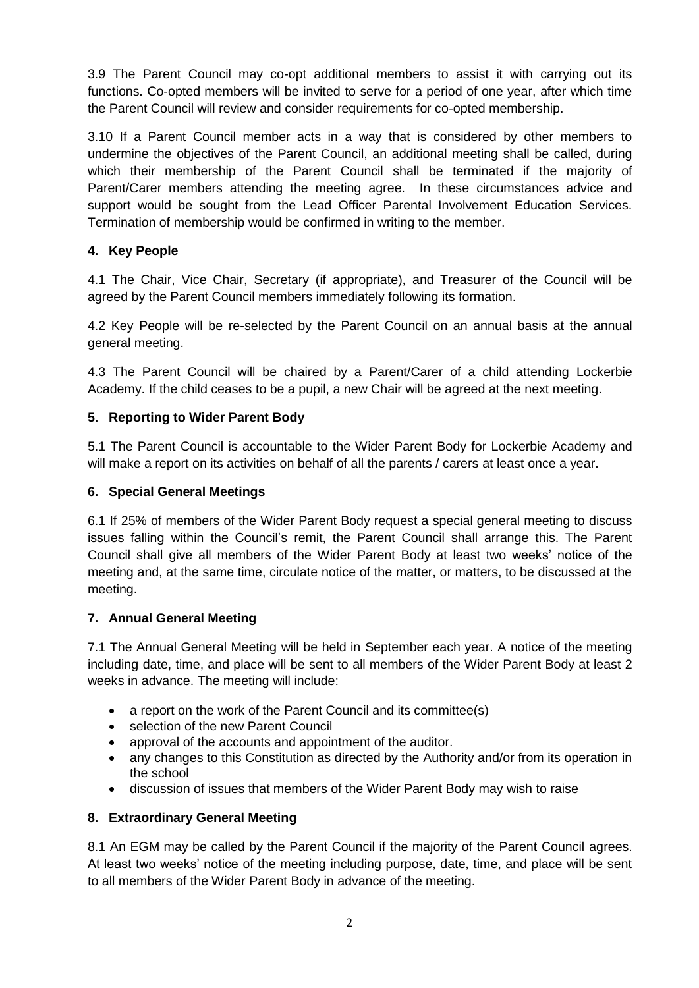3.9 The Parent Council may co-opt additional members to assist it with carrying out its functions. Co-opted members will be invited to serve for a period of one year, after which time the Parent Council will review and consider requirements for co-opted membership.

3.10 If a Parent Council member acts in a way that is considered by other members to undermine the objectives of the Parent Council, an additional meeting shall be called, during which their membership of the Parent Council shall be terminated if the majority of Parent/Carer members attending the meeting agree. In these circumstances advice and support would be sought from the Lead Officer Parental Involvement Education Services. Termination of membership would be confirmed in writing to the member.

# **4. Key People**

4.1 The Chair, Vice Chair, Secretary (if appropriate), and Treasurer of the Council will be agreed by the Parent Council members immediately following its formation.

4.2 Key People will be re-selected by the Parent Council on an annual basis at the annual general meeting.

4.3 The Parent Council will be chaired by a Parent/Carer of a child attending Lockerbie Academy. If the child ceases to be a pupil, a new Chair will be agreed at the next meeting.

# **5. Reporting to Wider Parent Body**

5.1 The Parent Council is accountable to the Wider Parent Body for Lockerbie Academy and will make a report on its activities on behalf of all the parents / carers at least once a year.

### **6. Special General Meetings**

6.1 If 25% of members of the Wider Parent Body request a special general meeting to discuss issues falling within the Council's remit, the Parent Council shall arrange this. The Parent Council shall give all members of the Wider Parent Body at least two weeks' notice of the meeting and, at the same time, circulate notice of the matter, or matters, to be discussed at the meeting.

#### **7. Annual General Meeting**

7.1 The Annual General Meeting will be held in September each year. A notice of the meeting including date, time, and place will be sent to all members of the Wider Parent Body at least 2 weeks in advance. The meeting will include:

- a report on the work of the Parent Council and its committee(s)
- selection of the new Parent Council
- approval of the accounts and appointment of the auditor.
- any changes to this Constitution as directed by the Authority and/or from its operation in the school
- discussion of issues that members of the Wider Parent Body may wish to raise

#### **8. Extraordinary General Meeting**

8.1 An EGM may be called by the Parent Council if the majority of the Parent Council agrees. At least two weeks' notice of the meeting including purpose, date, time, and place will be sent to all members of the Wider Parent Body in advance of the meeting.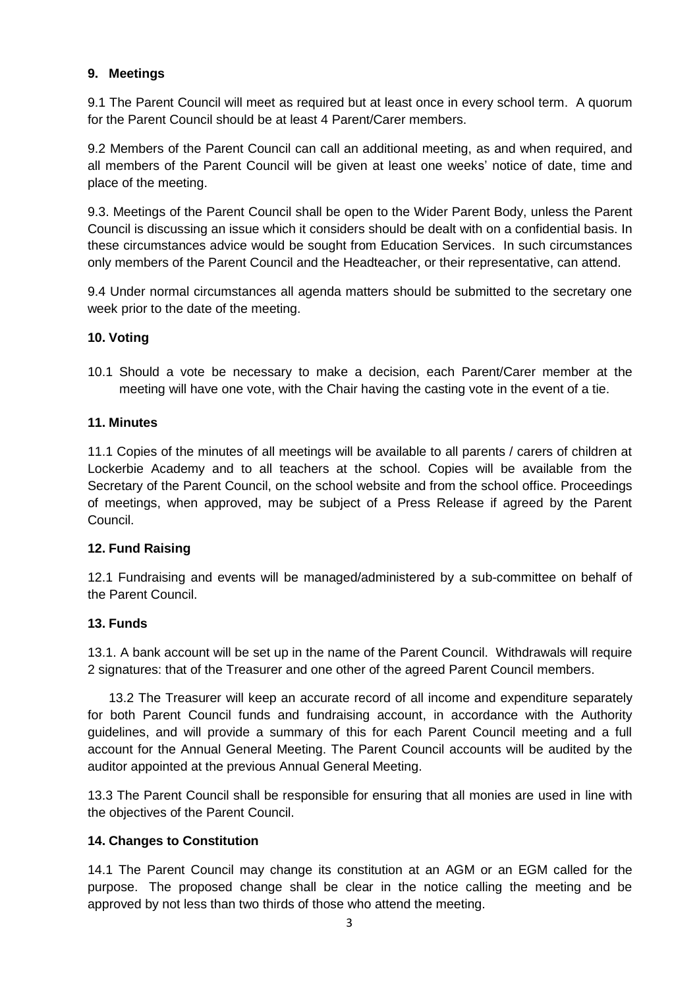# **9. Meetings**

9.1 The Parent Council will meet as required but at least once in every school term. A quorum for the Parent Council should be at least 4 Parent/Carer members.

9.2 Members of the Parent Council can call an additional meeting, as and when required, and all members of the Parent Council will be given at least one weeks' notice of date, time and place of the meeting.

9.3. Meetings of the Parent Council shall be open to the Wider Parent Body, unless the Parent Council is discussing an issue which it considers should be dealt with on a confidential basis. In these circumstances advice would be sought from Education Services. In such circumstances only members of the Parent Council and the Headteacher, or their representative, can attend.

9.4 Under normal circumstances all agenda matters should be submitted to the secretary one week prior to the date of the meeting.

# **10. Voting**

10.1 Should a vote be necessary to make a decision, each Parent/Carer member at the meeting will have one vote, with the Chair having the casting vote in the event of a tie.

#### **11. Minutes**

11.1 Copies of the minutes of all meetings will be available to all parents / carers of children at Lockerbie Academy and to all teachers at the school. Copies will be available from the Secretary of the Parent Council, on the school website and from the school office. Proceedings of meetings, when approved, may be subject of a Press Release if agreed by the Parent Council.

#### **12. Fund Raising**

12.1 Fundraising and events will be managed/administered by a sub-committee on behalf of the Parent Council.

#### **13. Funds**

13.1. A bank account will be set up in the name of the Parent Council. Withdrawals will require 2 signatures: that of the Treasurer and one other of the agreed Parent Council members.

13.2 The Treasurer will keep an accurate record of all income and expenditure separately for both Parent Council funds and fundraising account, in accordance with the Authority guidelines, and will provide a summary of this for each Parent Council meeting and a full account for the Annual General Meeting. The Parent Council accounts will be audited by the auditor appointed at the previous Annual General Meeting.

13.3 The Parent Council shall be responsible for ensuring that all monies are used in line with the objectives of the Parent Council.

# **14. Changes to Constitution**

14.1 The Parent Council may change its constitution at an AGM or an EGM called for the purpose. The proposed change shall be clear in the notice calling the meeting and be approved by not less than two thirds of those who attend the meeting.